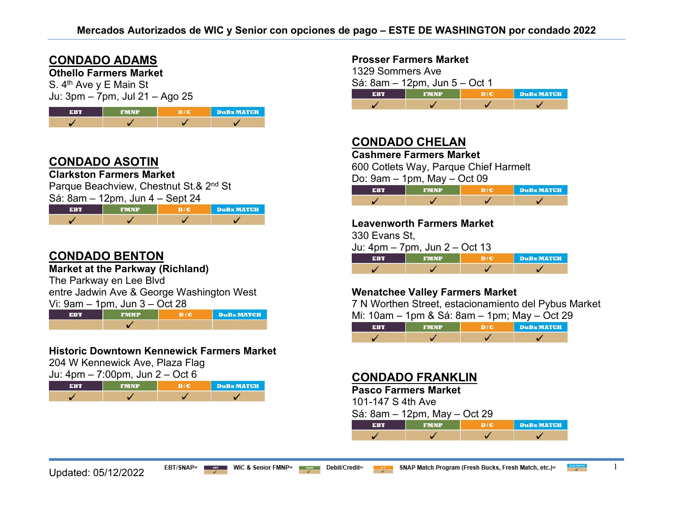## **CONDADO ADAMS**

**Othello Farmers Market**

S. 4<sup>th</sup> Ave y E Main St Ju: 3pm – 7pm, Jul 21 – Ago 25



## **CONDADO ASOTIN**

**Clarkston Farmers Market**

Parque Beachview, Chestnut St.& 2<sup>nd</sup> St Sá: 8am – 12pm, Jun 4 – Sept 24

|            | $\frac{1}{2}$ |            |
|------------|---------------|------------|
| <b>EBT</b> | <b>FMNP</b>   | DuBx MATCH |
|            |               |            |

# **CONDADO BENTON**

#### **Market at the Parkway (Richland)**

The Parkway en Lee Blvd

entre Jadwin Ave & George Washington West

Vi: 9am – 1pm, Jun 3 – Oct 28

**EBT DuBx MATCH FMNP**  $D/C$ ✓

#### **Historic Downtown Kennewick Farmers Market**

204 W Kennewick Ave, Plaza Flag

 $I_{\text{III}}$ : 4pm – 7:00pm,  $I_{\text{III}}$  2 – Oct 6

| FRT | <b>FMNP</b> |  | DuBx MATCH |
|-----|-------------|--|------------|
|     |             |  |            |

#### **Prosser Farmers Market**

1329 Sommers Ave Sá: 8am – 12pm, Jun 5 – Oct 1 **FMNP**  $D/C$ **DuB** MATCH **EBT** J ✓  $\overline{\mathscr{L}}$  $\overline{\mathscr{L}}$ 

## **CONDADO CHELAN**

**Cashmere Farmers Market**

600 Cotlets Way, Parque Chief Harmelt

Do: 9am – 1pm, May – Oct 09

| FMNP | <b>DuBx MATCH</b> |
|------|-------------------|
|      |                   |

#### **Leavenworth Farmers Market**

330 Evans St,

|--|

| ERT | <b>FMNP</b> | <b>DuB</b> MATCH |
|-----|-------------|------------------|
|     |             |                  |

### **Wenatchee Valley Farmers Market**

7 N Worthen Street, estacionamiento del Pybus Market Mi: 10am – 1pm & Sá: 8am – 1pm; May – Oct 29

| $-100$ |  | <b>DuBx MATCH</b> |
|--------|--|-------------------|
|        |  |                   |

### **CONDADO FRANKLIN**

#### **Pasco Farmers Market**

101-147 S 4th Ave

| Sá: 8am – 12pm, May – Oct 29 |  |
|------------------------------|--|
|------------------------------|--|

| 31:41 | <b>FMNP</b> | DuBx MATCH |
|-------|-------------|------------|
|       |             |            |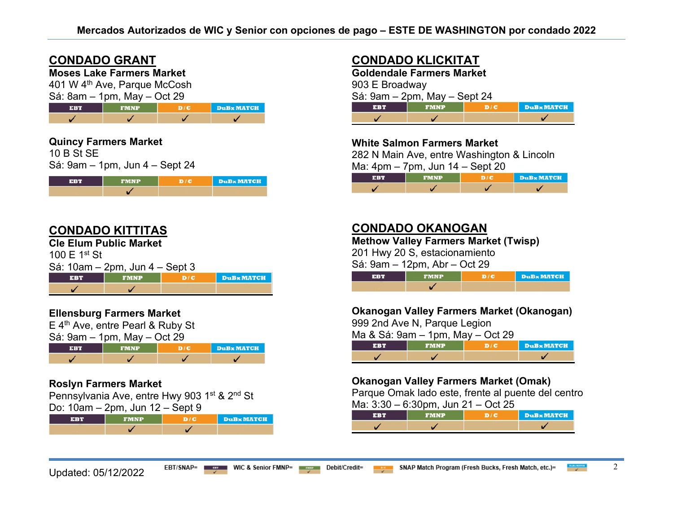### **CONDADO GRANT**

**Moses Lake Farmers Market**

401 W 4th Ave, Parque McCosh  $\overline{S_4}$ :  $\overline{S_5}$  ,  $\overline{S_6}$  ,  $\overline{S_7}$  ,  $\overline{S_8}$  ,  $\overline{S_9}$  ,  $\overline{S_9}$  ,  $\overline{S_9}$  ,  $\overline{S_9}$  ,  $\overline{S_9}$  ,  $\overline{S_9}$  ,  $\overline{S_9}$  ,  $\overline{S_9}$  ,  $\overline{S_9}$  ,  $\overline{S_9}$  ,  $\overline{S_9}$  ,  $\overline{S_9}$  ,

| $\sigma$ a: $\sigma$ am – Tpm, May – Oct 29 |             |  |            |  |
|---------------------------------------------|-------------|--|------------|--|
| <b>EBT</b>                                  | <b>FMNP</b> |  | DuBx MATCH |  |
|                                             |             |  |            |  |

### **Quincy Farmers Market**

10 B St SE Sá: 9am – 1pm, Jun 4 – Sept 24

| <b>PERMIT</b> | <b>FMNP</b> | <b>DuB</b> MATCH |
|---------------|-------------|------------------|
|               |             |                  |

## **CONDADO KITTITAS**

**Cle Elum Public Market**

100 E 1st St

|  | Sá: 10am – 2pm, Jun 4 – Sept 3 |  |
|--|--------------------------------|--|
|  |                                |  |

|  | <b>DuB</b> MATCH |
|--|------------------|
|  |                  |

### **Ellensburg Farmers Market**

E 4th Ave, entre Pearl & Ruby St Sá: 9am – 1pm, May – Oct 29



### **Roslyn Farmers Market**

Pennsylvania Ave, entre Hwy 903 1<sup>st</sup> & 2<sup>nd</sup> St Do: 10am – 2pm, Jun 12 – Sept 9

| FMNP | <b>DuBx MATCH</b> |
|------|-------------------|
|      |                   |

# **CONDADO KLICKITAT**

**Goldendale Farmers Market** 903 E Broadway Sá: 9am – 2pm, May – Sept 24 **EBT FMNP**  $D/C$ **DuB**x MATCH ✓  $\checkmark$ ✓

### **White Salmon Farmers Market**

282 N Main Ave, entre Washington & Lincoln

Ma: 4pm – 7pm, Jun 14 – Sept 20

|  | <b>DuBx MATCH</b> |
|--|-------------------|
|  |                   |

## **CONDADO OKANOGAN**

**Methow Valley Farmers Market (Twisp)** 

201 Hwy 20 S, estacionamiento

Sá: 9am – 12pm, Abr – Oct 29

| se s | <b>ASTAR</b> | <b>DuB</b> MATCH |
|------|--------------|------------------|
|      |              |                  |

### **Okanogan Valley Farmers Market (Okanogan)**

999 2nd Ave N, Parque Legion

Ma & Sá: 9am – 1pm, May – Oct 29

|  | <b>DuBx MATCH</b> |
|--|-------------------|
|  |                   |

### **Okanogan Valley Farmers Market (Omak)**

Parque Omak lado este, frente al puente del centro  $Ma: 3:30 - 6:30$ pm, Jun 21 – Oct 25

| $\alpha$ . 0.00 $-$ 0.00pm, 00m z r $-$ 00t z0 |             |            |                  |  |
|------------------------------------------------|-------------|------------|------------------|--|
| нави                                           | <b>FMNP</b> | <b>DIG</b> | <b>DuBxMATCH</b> |  |
|                                                |             |            |                  |  |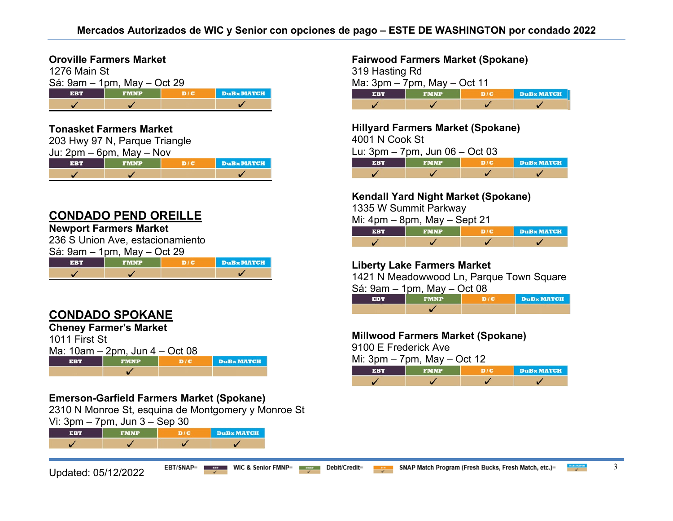#### **Oroville Farmers Market**

| 1276 Main St |                             |     |                  |
|--------------|-----------------------------|-----|------------------|
|              | Sá: 9am – 1pm, May – Oct 29 |     |                  |
| <b>EBT</b>   | <b>FMNP</b>                 | D/C | <b>DuBxMATCH</b> |
|              |                             |     |                  |

#### **Tonasket Farmers Market**

| 203 Hwy 97 N, Parque Triangle |             |     |                  |
|-------------------------------|-------------|-----|------------------|
| Ju: $2pm - 6pm$ , May $-$ Nov |             |     |                  |
| <b>EBT</b>                    | <b>FMNP</b> | D/C | <b>DuBxMATCH</b> |
|                               |             |     |                  |

### **CONDADO PEND OREILLE**

#### **Newport Farmers Market**

236 S Union Ave, estacionamiento  $Sá: 9am – 1nm$  May – Oct 29

|  | <b>DuBxMATCH</b> |
|--|------------------|
|  |                  |

# **CONDADO SPOKANE**

|               | <b>Cheney Farmer's Market</b>       |     |                   |
|---------------|-------------------------------------|-----|-------------------|
| 1011 First St |                                     |     |                   |
|               | Ma: $10am - 2pm$ , Jun $4 - Oct 08$ |     |                   |
| <b>EBT</b>    | <b>FMNP</b>                         | D/C | <b>DuBx MATCH</b> |
|               |                                     |     |                   |

### **Emerson-Garfield Farmers Market (Spokane)**

2310 N Monroe St, esquina de Montgomery y Monroe St

Vi: 3pm – 7pm, Jun 3 – Sep 30

| <b>SERV</b> | <b>FMNP</b> | <b>DuB</b> <sub>x</sub> MATCH |
|-------------|-------------|-------------------------------|
|             |             |                               |

#### **Fairwood Farmers Market (Spokane)**

| 319 Hasting Rd                   |             |     |                   |
|----------------------------------|-------------|-----|-------------------|
| Ma: $3pm - 7pm$ , May $-$ Oct 11 |             |     |                   |
| <b>EBT</b>                       | <b>FMNP</b> | D/C | <b>DuBx MATCH</b> |
|                                  |             |     |                   |

**Hillyard Farmers Market (Spokane)** 

4001 N Cook St

Lu: 3pm – 7pm, Jun 06 – Oct 03

| r e T | <b>FMNP</b> | DuBx MATCH |
|-------|-------------|------------|
|       |             |            |

#### **Kendall Yard Night Market (Spokane)**

1335 W Summit Parkway

Mi: 4pm – 8pm, May – Sept 21

| <b>FRT</b> | <b>FMNP</b> | DuBx MATCH |
|------------|-------------|------------|
|            |             |            |

### **Liberty Lake Farmers Market**

1421 N Meadowwood Ln, Parque Town Square  $S_1$ :  $0$ am – 1pm,  $M_2$  $V = \Omega$ ct 08

| 3a. 9ahl – Tphi, May – Oct 00 |             |  |            |  |
|-------------------------------|-------------|--|------------|--|
| FRT                           | <b>FMNP</b> |  | DuBx MATCH |  |
|                               |             |  |            |  |

#### **Millwood Farmers Market (Spokane)**

9100 E Frederick Ave

Mi:  $3 \text{pm} - 7 \text{pm}$ . May – Oct 12

| せいしょ |  | <b>DuBx MATCH</b> |
|------|--|-------------------|
|      |  |                   |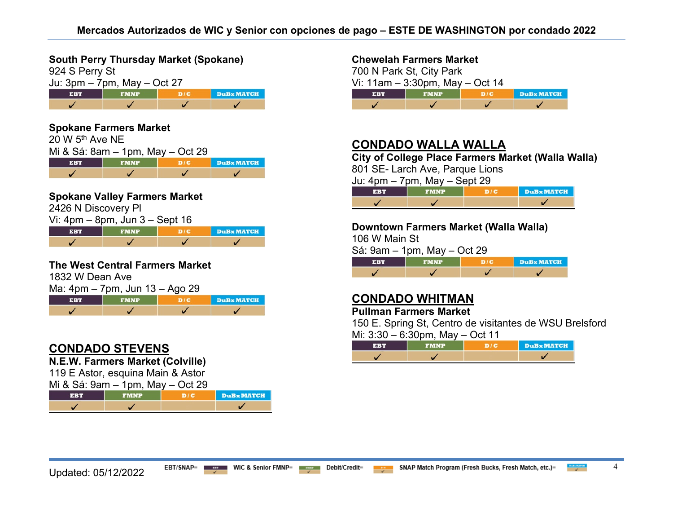**South Perry Thursday Market (Spokane)**

| 924 S Perry St                   |             |     |                  |
|----------------------------------|-------------|-----|------------------|
| Ju: $3pm - 7pm$ , May $-$ Oct 27 |             |     |                  |
| <b>EBT</b>                       | <b>FMNP</b> | D/C | <b>DuBxMATCH</b> |
|                                  |             |     |                  |

#### **Spokane Farmers Market**

| $20 W 5th$ Ave NE                |             |     |                               |  |  |
|----------------------------------|-------------|-----|-------------------------------|--|--|
| Mi & Sá: 8am – 1pm, May – Oct 29 |             |     |                               |  |  |
| <b>EBT</b>                       | <b>FMNP</b> | D/E | <b>DuB</b> <sub>x</sub> MATCH |  |  |
|                                  |             |     |                               |  |  |

#### **Spokane Valley Farmers Market**

2426 N Discovery Pl

| Vi: $4\text{pm} - 8\text{pm}$ , Jun $3 -$ Sept 16 |             |  |            |  |
|---------------------------------------------------|-------------|--|------------|--|
| EBT                                               | <b>FMNP</b> |  | DuBx MATCH |  |
|                                                   |             |  |            |  |

#### **The West Central Farmers Market**

1832 W Dean Ave Ma: 4pm – 7pm, Jun 13 – Ago 29 **EBT FMNP**  $D/C$ **DuB MATCH** ✓  $\overline{ }$ ✓ ✓

### **CONDADO STEVENS**

**N.E.W. Farmers Market (Colville)**

119 E Astor, esquina Main & Astor

| <b>EBT</b>                              | <b>FMNP</b> |  | DuBx MATCH |
|-----------------------------------------|-------------|--|------------|
| Mi & Sá: $9$ am $-1$ pm, May $-$ Oct 29 |             |  |            |

#### **Chewelah Farmers Market**

700 N Park St, City Park Vi:  $11am - 3:30pm$ , May – Oct 14 **EBT**  $D/C$ **DuB** MATCH ✓ V  $\overline{\mathscr{L}}$  $\checkmark$ 

## **CONDADO WALLA WALLA**

**City of College Place Farmers Market (Walla Walla)** 

801 SE- Larch Ave, Parque Lions

Ju: 4pm – 7pm, May – Sept 29

|  | <b>DuBx MATCH</b> |
|--|-------------------|
|  |                   |

#### **Downtown Farmers Market (Walla Walla)**

106 W Main St

Sá: 9am – 1pm, May – Oct 29

|  | <b>DuBx MATCH</b> |
|--|-------------------|
|  |                   |

## **CONDADO WHITMAN**

**Pullman Farmers Market** 

150 E. Spring St, Centro de visitantes de WSU Brelsford  $M_i: 3:30 - 6:30$ pm,  $Mav - 0$ ct 11

| $1011. \cup 100$ $0.00$ $111, 1010$ | . |                  |
|-------------------------------------|---|------------------|
|                                     |   | <b>DuBxMATCH</b> |
|                                     |   |                  |